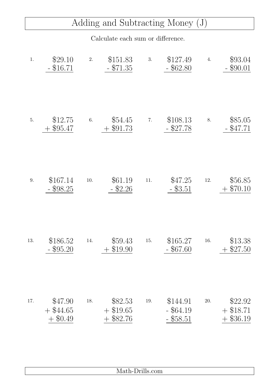## Adding and Subtracting Money (J)

## Calculate each sum or difference.

| 1.  | \$29.10<br>\$16.71                      | 2.  | \$151.83<br>$- $71.35$        | 3.  | \$127.49<br>$-$ \$62.80                | 4.       | \$93.04<br>$-$ \$90.01            |
|-----|-----------------------------------------|-----|-------------------------------|-----|----------------------------------------|----------|-----------------------------------|
| 5.  | \$12.75<br>\$95.47                      | 6.  | \$54.45<br>$+$ \$91.73        | 7.  | \$108.13<br>\$27.78                    | 8.       | \$85.05<br>$-$ \$47.71            |
| 9.  | \$167.14<br>\$98.25                     | 10. | \$61.19<br>$-$ \$2.26         | 11. | \$47.25<br>$-$ \$3.51                  | $12. \,$ | \$56.85<br>\$70.10                |
| 13. | \$186.52<br>\$95.20                     | 14. | \$59.43<br>\$19.90            | 15. | \$165.27<br>\$67.60                    | 16.      | \$13.38<br>\$27.50                |
| 17. | \$47.90<br>$+$ \$44.65<br>\$0.49<br>$+$ | 18. | \$82.53<br>\$19.65<br>\$82.76 | 19. | \$144.91<br>$-$ \$64.19<br>$-$ \$58.51 | 20.      | \$22.92<br>$+$ \$18.71<br>\$36.19 |